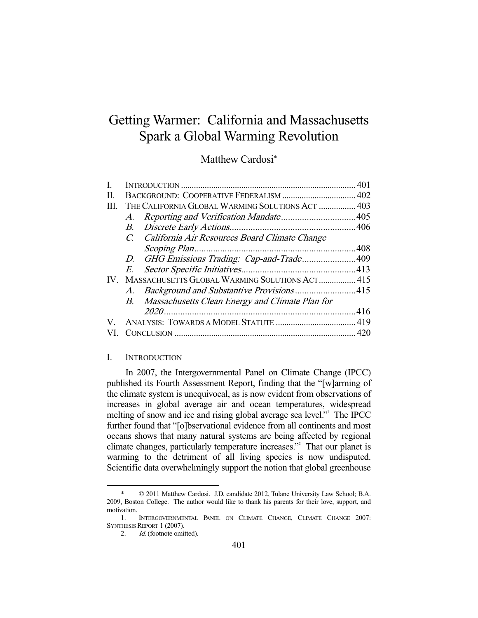# Getting Warmer: California and Massachusetts Spark a Global Warming Revolution

# Matthew Cardosi\*

| H.   |                                                  |                                                    |  |
|------|--------------------------------------------------|----------------------------------------------------|--|
| III. | THE CALIFORNIA GLOBAL WARMING SOLUTIONS ACT  403 |                                                    |  |
|      | A.                                               |                                                    |  |
|      | В.                                               |                                                    |  |
|      | $C_{\cdot}$                                      | California Air Resources Board Climate Change      |  |
|      |                                                  |                                                    |  |
|      |                                                  | D. GHG Emissions Trading: Cap-and-Trade409         |  |
|      | E.                                               |                                                    |  |
| IV.  |                                                  | MASSACHUSETTS GLOBAL WARMING SOLUTIONS ACT 415     |  |
|      |                                                  | A. Background and Substantive Provisions415        |  |
|      |                                                  | B. Massachusetts Clean Energy and Climate Plan for |  |
|      |                                                  |                                                    |  |
| V    |                                                  |                                                    |  |
|      |                                                  |                                                    |  |
|      |                                                  |                                                    |  |

# I. INTRODUCTION

 In 2007, the Intergovernmental Panel on Climate Change (IPCC) published its Fourth Assessment Report, finding that the "[w]arming of the climate system is unequivocal, as is now evident from observations of increases in global average air and ocean temperatures, widespread melting of snow and ice and rising global average sea level." The IPCC further found that "[o]bservational evidence from all continents and most oceans shows that many natural systems are being affected by regional climate changes, particularly temperature increases."<sup>2</sup> That our planet is warming to the detriment of all living species is now undisputed. Scientific data overwhelmingly support the notion that global greenhouse

 <sup>\* © 2011</sup> Matthew Cardosi. J.D. candidate 2012, Tulane University Law School; B.A. 2009, Boston College. The author would like to thank his parents for their love, support, and motivation.

 <sup>1.</sup> INTERGOVERNMENTAL PANEL ON CLIMATE CHANGE, CLIMATE CHANGE 2007: SYNTHESIS REPORT 1 (2007).

<sup>2.</sup> *Id.* (footnote omitted).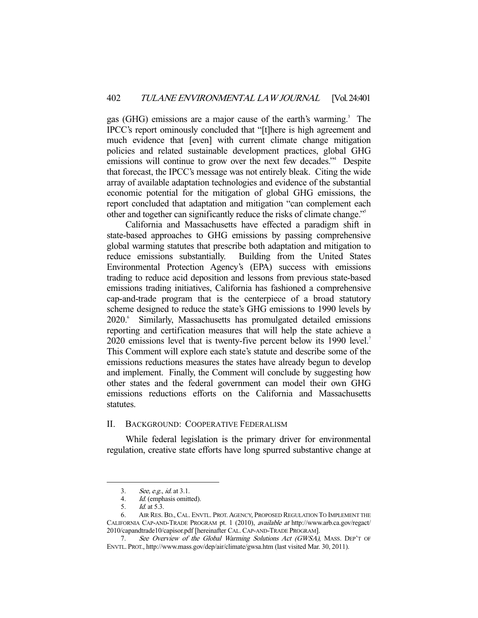gas (GHG) emissions are a major cause of the earth's warming.<sup>3</sup> The IPCC's report ominously concluded that "[t]here is high agreement and much evidence that [even] with current climate change mitigation policies and related sustainable development practices, global GHG emissions will continue to grow over the next few decades."<sup>4</sup> Despite that forecast, the IPCC's message was not entirely bleak. Citing the wide array of available adaptation technologies and evidence of the substantial economic potential for the mitigation of global GHG emissions, the report concluded that adaptation and mitigation "can complement each other and together can significantly reduce the risks of climate change."5

 California and Massachusetts have effected a paradigm shift in state-based approaches to GHG emissions by passing comprehensive global warming statutes that prescribe both adaptation and mitigation to reduce emissions substantially. Building from the United States Environmental Protection Agency's (EPA) success with emissions trading to reduce acid deposition and lessons from previous state-based emissions trading initiatives, California has fashioned a comprehensive cap-and-trade program that is the centerpiece of a broad statutory scheme designed to reduce the state's GHG emissions to 1990 levels by 2020.<sup>6</sup> Similarly, Massachusetts has promulgated detailed emissions reporting and certification measures that will help the state achieve a 2020 emissions level that is twenty-five percent below its 1990 level.<sup>7</sup> This Comment will explore each state's statute and describe some of the emissions reductions measures the states have already begun to develop and implement. Finally, the Comment will conclude by suggesting how other states and the federal government can model their own GHG emissions reductions efforts on the California and Massachusetts statutes.

#### II. BACKGROUND: COOPERATIVE FEDERALISM

 While federal legislation is the primary driver for environmental regulation, creative state efforts have long spurred substantive change at

 <sup>3.</sup> See, e.g., id. at 3.1.

 <sup>4.</sup> Id. (emphasis omitted).

 <sup>5.</sup> Id. at 5.3.

 <sup>6.</sup> AIR RES. BD., CAL. ENVTL. PROT.AGENCY, PROPOSED REGULATION TO IMPLEMENT THE CALIFORNIA CAP-AND-TRADE PROGRAM pt. 1 (2010), available at http://www.arb.ca.gov/regact/ 2010/capandtrade10/capisor.pdf [hereinafter CAL.CAP-AND-TRADE PROGRAM].

<sup>7.</sup> See Overview of the Global Warming Solutions Act (GWSA), MASS. DEP'T OF ENVTL. PROT., http://www.mass.gov/dep/air/climate/gwsa.htm (last visited Mar. 30, 2011).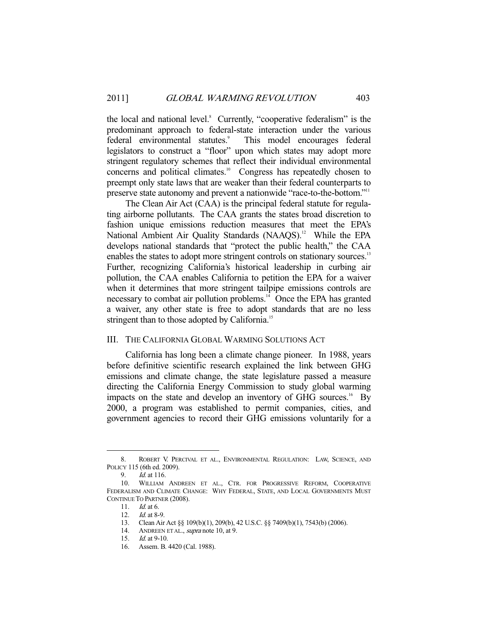the local and national level.<sup>8</sup> Currently, "cooperative federalism" is the predominant approach to federal-state interaction under the various federal environmental statutes.<sup>9</sup> This model encourages federal legislators to construct a "floor" upon which states may adopt more stringent regulatory schemes that reflect their individual environmental concerns and political climates.<sup>10</sup> Congress has repeatedly chosen to preempt only state laws that are weaker than their federal counterparts to preserve state autonomy and prevent a nationwide "race-to-the-bottom."<sup>11</sup>

 The Clean Air Act (CAA) is the principal federal statute for regulating airborne pollutants. The CAA grants the states broad discretion to fashion unique emissions reduction measures that meet the EPA's National Ambient Air Quality Standards (NAAQS).<sup>12</sup> While the EPA develops national standards that "protect the public health," the CAA enables the states to adopt more stringent controls on stationary sources.<sup>13</sup> Further, recognizing California's historical leadership in curbing air pollution, the CAA enables California to petition the EPA for a waiver when it determines that more stringent tailpipe emissions controls are necessary to combat air pollution problems.<sup>14</sup> Once the EPA has granted a waiver, any other state is free to adopt standards that are no less stringent than to those adopted by California.<sup>15</sup>

# III. THE CALIFORNIA GLOBAL WARMING SOLUTIONS ACT

 California has long been a climate change pioneer. In 1988, years before definitive scientific research explained the link between GHG emissions and climate change, the state legislature passed a measure directing the California Energy Commission to study global warming impacts on the state and develop an inventory of GHG sources.<sup>16</sup> By 2000, a program was established to permit companies, cities, and government agencies to record their GHG emissions voluntarily for a

 <sup>8.</sup> ROBERT V. PERCIVAL ET AL., ENVIRONMENTAL REGULATION: LAW, SCIENCE, AND POLICY 115 (6th ed. 2009).<br>9. Id. at 116.

Id. at 116.

 <sup>10.</sup> WILLIAM ANDREEN ET AL., CTR. FOR PROGRESSIVE REFORM, COOPERATIVE FEDERALISM AND CLIMATE CHANGE: WHY FEDERAL, STATE, AND LOCAL GOVERNMENTS MUST CONTINUE TO PARTNER (2008).

<sup>11.</sup> *Id.* at 6.<br>12. *Id.* at 8-9.

<sup>12.</sup> *Id.* at 8-9.

 <sup>13.</sup> Clean Air Act §§ 109(b)(1), 209(b), 42 U.S.C. §§ 7409(b)(1), 7543(b) (2006).

 <sup>14.</sup> ANDREEN ET AL., supra note 10, at 9.

 <sup>15.</sup> Id. at 9-10.

 <sup>16.</sup> Assem. B. 4420 (Cal. 1988).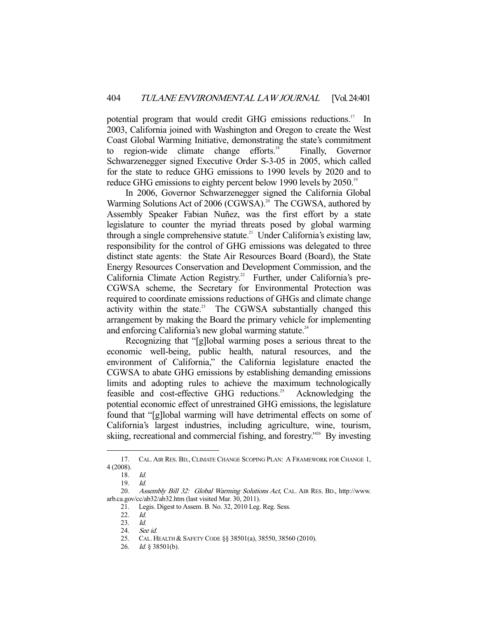potential program that would credit GHG emissions reductions.<sup>17</sup> In 2003, California joined with Washington and Oregon to create the West Coast Global Warming Initiative, demonstrating the state's commitment to region-wide climate change efforts.<sup>18</sup> Finally, Governor Schwarzenegger signed Executive Order S-3-05 in 2005, which called for the state to reduce GHG emissions to 1990 levels by 2020 and to reduce GHG emissions to eighty percent below 1990 levels by 2050.<sup>19</sup>

 In 2006, Governor Schwarzenegger signed the California Global Warming Solutions Act of 2006 (CGWSA).<sup>20</sup> The CGWSA, authored by Assembly Speaker Fabian Nuñez, was the first effort by a state legislature to counter the myriad threats posed by global warming through a single comprehensive statute.<sup>21</sup> Under California's existing law, responsibility for the control of GHG emissions was delegated to three distinct state agents: the State Air Resources Board (Board), the State Energy Resources Conservation and Development Commission, and the California Climate Action Registry.<sup>22</sup> Further, under California's pre-CGWSA scheme, the Secretary for Environmental Protection was required to coordinate emissions reductions of GHGs and climate change activity within the state.<sup>23</sup> The CGWSA substantially changed this arrangement by making the Board the primary vehicle for implementing and enforcing California's new global warming statute.<sup>24</sup>

 Recognizing that "[g]lobal warming poses a serious threat to the economic well-being, public health, natural resources, and the environment of California," the California legislature enacted the CGWSA to abate GHG emissions by establishing demanding emissions limits and adopting rules to achieve the maximum technologically feasible and cost-effective GHG reductions.<sup>25</sup> Acknowledging the potential economic effect of unrestrained GHG emissions, the legislature found that "[g]lobal warming will have detrimental effects on some of California's largest industries, including agriculture, wine, tourism, skiing, recreational and commercial fishing, and forestry."26 By investing

 <sup>17.</sup> CAL. AIR RES. BD., CLIMATE CHANGE SCOPING PLAN: A FRAMEWORK FOR CHANGE 1, 4 (2008).

 <sup>18.</sup> Id.

 <sup>19.</sup> Id.

 <sup>20.</sup> Assembly Bill 32: Global Warming Solutions Act, CAL. AIR RES. BD., http://www. arb.ca.gov/cc/ab32/ab32.htm (last visited Mar. 30, 2011).

 <sup>21.</sup> Legis. Digest to Assem. B. No. 32, 2010 Leg. Reg. Sess.

 <sup>22.</sup> Id.

 <sup>23.</sup> Id.

 <sup>24.</sup> See id.

 <sup>25.</sup> CAL. HEALTH & SAFETY CODE §§ 38501(a), 38550, 38560 (2010).

 <sup>26.</sup> Id. § 38501(b).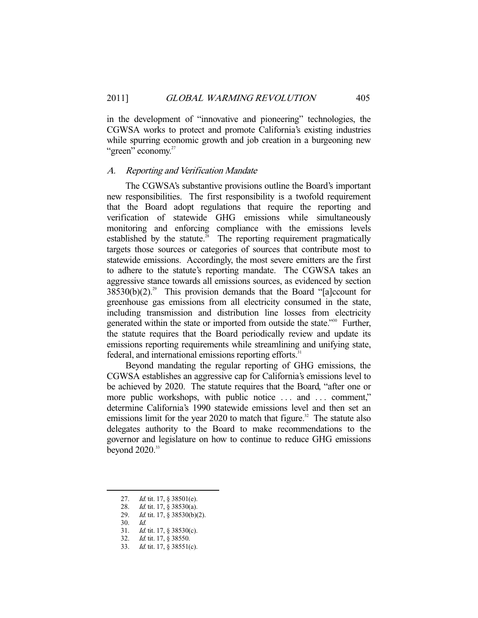in the development of "innovative and pioneering" technologies, the CGWSA works to protect and promote California's existing industries while spurring economic growth and job creation in a burgeoning new "green" economy.<sup>27</sup>

#### A. Reporting and Verification Mandate

 The CGWSA's substantive provisions outline the Board's important new responsibilities. The first responsibility is a twofold requirement that the Board adopt regulations that require the reporting and verification of statewide GHG emissions while simultaneously monitoring and enforcing compliance with the emissions levels established by the statute. $28$  The reporting requirement pragmatically targets those sources or categories of sources that contribute most to statewide emissions. Accordingly, the most severe emitters are the first to adhere to the statute's reporting mandate. The CGWSA takes an aggressive stance towards all emissions sources, as evidenced by section  $38530(b)(2).^{29}$  This provision demands that the Board "[a]ccount for greenhouse gas emissions from all electricity consumed in the state, including transmission and distribution line losses from electricity generated within the state or imported from outside the state."<sup>30</sup> Further, the statute requires that the Board periodically review and update its emissions reporting requirements while streamlining and unifying state, federal, and international emissions reporting efforts.<sup>31</sup>

 Beyond mandating the regular reporting of GHG emissions, the CGWSA establishes an aggressive cap for California's emissions level to be achieved by 2020. The statute requires that the Board, "after one or more public workshops, with public notice ... and ... comment," determine California's 1990 statewide emissions level and then set an emissions limit for the year 2020 to match that figure.<sup>32</sup> The statute also delegates authority to the Board to make recommendations to the governor and legislature on how to continue to reduce GHG emissions beyond  $2020.^33$ 

<sup>27.</sup> *Id.* tit. 17, § 38501(e).<br>28. *Id.* tit. 17, § 38530(a).

Id. tit. 17, § 38530(a).

Id. tit. 17, § 38530(b)(2).

 $\begin{array}{ccc} 2c & & \\ 29. & & \\ 2 & & \underline{Id}.\end{array}$ 

<sup>31.</sup> *Id.* tit. 17, § 38530(c).

<sup>32.</sup> *Id.* tit. 17, § 38550.

<sup>33.</sup> *Id.* tit. 17, § 38551(c).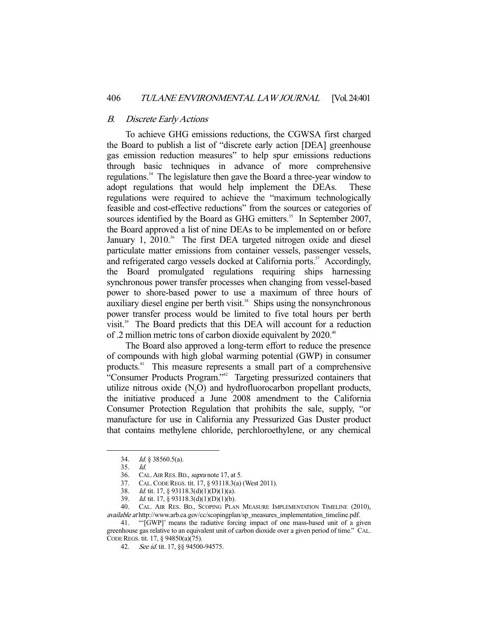### B. Discrete Early Actions

 To achieve GHG emissions reductions, the CGWSA first charged the Board to publish a list of "discrete early action [DEA] greenhouse gas emission reduction measures" to help spur emissions reductions through basic techniques in advance of more comprehensive regulations.<sup>34</sup> The legislature then gave the Board a three-year window to adopt regulations that would help implement the DEAs. These regulations were required to achieve the "maximum technologically feasible and cost-effective reductions" from the sources or categories of sources identified by the Board as GHG emitters.<sup>35</sup> In September 2007, the Board approved a list of nine DEAs to be implemented on or before January 1, 2010.<sup>36</sup> The first DEA targeted nitrogen oxide and diesel particulate matter emissions from container vessels, passenger vessels, and refrigerated cargo vessels docked at California ports.<sup>37</sup> Accordingly, the Board promulgated regulations requiring ships harnessing synchronous power transfer processes when changing from vessel-based power to shore-based power to use a maximum of three hours of auxiliary diesel engine per berth visit. $38$  Ships using the nonsynchronous power transfer process would be limited to five total hours per berth visit.<sup>39</sup> The Board predicts that this DEA will account for a reduction of .2 million metric tons of carbon dioxide equivalent by 2020.<sup>40</sup>

 The Board also approved a long-term effort to reduce the presence of compounds with high global warming potential (GWP) in consumer products.41 This measure represents a small part of a comprehensive "Consumer Products Program."<sup>42</sup> Targeting pressurized containers that utilize nitrous oxide  $(N_2O)$  and hydrofluorocarbon propellant products, the initiative produced a June 2008 amendment to the California Consumer Protection Regulation that prohibits the sale, supply, "or manufacture for use in California any Pressurized Gas Duster product that contains methylene chloride, perchloroethylene, or any chemical

-

 41. "'[GWP]' means the radiative forcing impact of one mass-based unit of a given greenhouse gas relative to an equivalent unit of carbon dioxide over a given period of time." CAL. CODE REGS. tit. 17, § 94850(a)(75).

 <sup>34.</sup> Id. § 38560.5(a).

 <sup>35.</sup> Id.

<sup>36.</sup> CAL. AIR RES. BD., *supra* note 17, at 5.

 <sup>37.</sup> CAL.CODE REGS. tit. 17, § 93118.3(a) (West 2011).

<sup>38.</sup> *Id.* tit. 17, § 93118.3(d)(1)(D)(1)(a).

 <sup>39.</sup> Id. tit. 17, § 93118.3(d)(1)(D)(1)(b).

 <sup>40.</sup> CAL. AIR RES. BD., SCOPING PLAN MEASURE IMPLEMENTATION TIMELINE (2010), available at http://www.arb.ca.gov/cc/scopingplan/sp\_measures\_implementation\_timeline.pdf.

<sup>42.</sup> See id. tit. 17, §§ 94500-94575.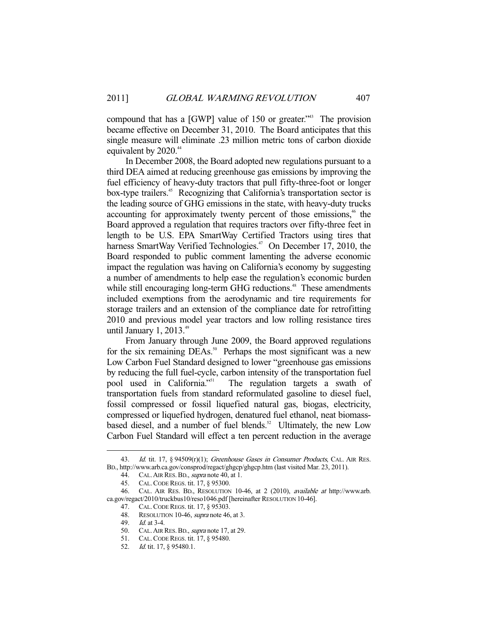compound that has a [GWP] value of 150 or greater."<sup>43</sup> The provision became effective on December 31, 2010. The Board anticipates that this single measure will eliminate .23 million metric tons of carbon dioxide equivalent by 2020.<sup>44</sup>

 In December 2008, the Board adopted new regulations pursuant to a third DEA aimed at reducing greenhouse gas emissions by improving the fuel efficiency of heavy-duty tractors that pull fifty-three-foot or longer box-type trailers.<sup>45</sup> Recognizing that California's transportation sector is the leading source of GHG emissions in the state, with heavy-duty trucks accounting for approximately twenty percent of those emissions,<sup>46</sup> the Board approved a regulation that requires tractors over fifty-three feet in length to be U.S. EPA SmartWay Certified Tractors using tires that harness SmartWay Verified Technologies.<sup>47</sup> On December 17, 2010, the Board responded to public comment lamenting the adverse economic impact the regulation was having on California's economy by suggesting a number of amendments to help ease the regulation's economic burden while still encouraging long-term GHG reductions.<sup>48</sup> These amendments included exemptions from the aerodynamic and tire requirements for storage trailers and an extension of the compliance date for retrofitting 2010 and previous model year tractors and low rolling resistance tires until January 1, 2013.<sup>49</sup>

 From January through June 2009, the Board approved regulations for the six remaining  $DEAs$ <sup>50</sup> Perhaps the most significant was a new Low Carbon Fuel Standard designed to lower "greenhouse gas emissions by reducing the full fuel-cycle, carbon intensity of the transportation fuel pool used in California."<sup>51</sup> The regulation targets a swath of transportation fuels from standard reformulated gasoline to diesel fuel, fossil compressed or fossil liquefied natural gas, biogas, electricity, compressed or liquefied hydrogen, denatured fuel ethanol, neat biomassbased diesel, and a number of fuel blends. $52$  Ultimately, the new Low Carbon Fuel Standard will effect a ten percent reduction in the average

<sup>43.</sup> Id. tit. 17, § 94509(r)(1); Greenhouse Gases in Consumer Products, CAL. AIR RES. BD., http://www.arb.ca.gov/consprod/regact/ghgcp/ghgcp.htm (last visited Mar. 23, 2011).

<sup>44.</sup> CAL. AIR RES. BD., *supra* note 40, at 1.

 <sup>45.</sup> CAL.CODE REGS. tit. 17, § 95300.

 <sup>46.</sup> CAL. AIR RES. BD., RESOLUTION 10-46, at 2 (2010), available at http://www.arb. ca.gov/regact/2010/truckbus10/reso1046.pdf [hereinafter RESOLUTION 10-46].

 <sup>47.</sup> CAL.CODE REGS. tit. 17, § 95303.

<sup>48.</sup> RESOLUTION 10-46, *supra* note 46, at 3.

 <sup>49.</sup> Id. at 3-4.

<sup>50.</sup> CAL. AIR RES. BD., *supra* note 17, at 29.

 <sup>51.</sup> CAL.CODE REGS. tit. 17, § 95480.

<sup>52.</sup> *Id.* tit. 17, § 95480.1.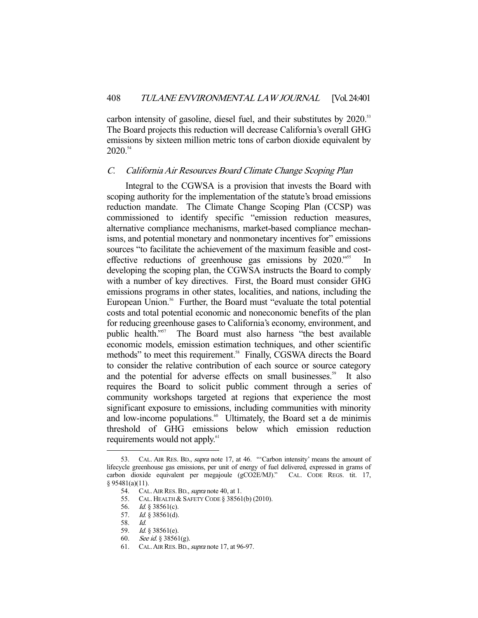carbon intensity of gasoline, diesel fuel, and their substitutes by 2020.<sup>53</sup> The Board projects this reduction will decrease California's overall GHG emissions by sixteen million metric tons of carbon dioxide equivalent by 2020.54

#### C. California Air Resources Board Climate Change Scoping Plan

 Integral to the CGWSA is a provision that invests the Board with scoping authority for the implementation of the statute's broad emissions reduction mandate. The Climate Change Scoping Plan (CCSP) was commissioned to identify specific "emission reduction measures, alternative compliance mechanisms, market-based compliance mechanisms, and potential monetary and nonmonetary incentives for" emissions sources "to facilitate the achievement of the maximum feasible and costeffective reductions of greenhouse gas emissions by 2020."<sup>55</sup> developing the scoping plan, the CGWSA instructs the Board to comply with a number of key directives. First, the Board must consider GHG emissions programs in other states, localities, and nations, including the European Union.<sup>56</sup> Further, the Board must "evaluate the total potential costs and total potential economic and noneconomic benefits of the plan for reducing greenhouse gases to California's economy, environment, and public health."<sup>57</sup> The Board must also harness "the best available economic models, emission estimation techniques, and other scientific methods" to meet this requirement.<sup>58</sup> Finally, CGSWA directs the Board to consider the relative contribution of each source or source category and the potential for adverse effects on small businesses.<sup>59</sup> It also requires the Board to solicit public comment through a series of community workshops targeted at regions that experience the most significant exposure to emissions, including communities with minority and low-income populations.<sup>60</sup> Ultimately, the Board set a de minimis threshold of GHG emissions below which emission reduction requirements would not apply.<sup>61</sup>

<sup>53.</sup> CAL. AIR RES. BD., *supra* note 17, at 46. "Carbon intensity' means the amount of lifecycle greenhouse gas emissions, per unit of energy of fuel delivered, expressed in grams of carbon dioxide equivalent per megajoule (gCO2E/MJ)." CAL. CODE REGS. tit. 17, § 95481(a)(11).

<sup>54.</sup> CAL. AIR RES. BD., *supra* note 40, at 1.

<sup>55.</sup> CAL. HEALTH & SAFETY CODE § 38561(b) (2010).<br>56. Id. § 38561(c).

*Id.* § 38561(c). 56.<br>57. Id. s

 $Id. \S$  38561(d).

 <sup>59.</sup> Id. § 38561(e).

<sup>60.</sup> See id. § 38561(g).

<sup>61.</sup> CAL. AIR RES. BD., *supra* note 17, at 96-97.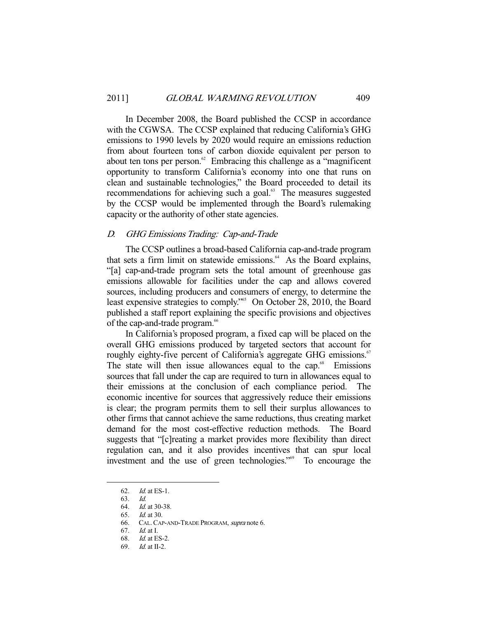In December 2008, the Board published the CCSP in accordance with the CGWSA. The CCSP explained that reducing California's GHG emissions to 1990 levels by 2020 would require an emissions reduction from about fourteen tons of carbon dioxide equivalent per person to about ten tons per person.<sup>62</sup> Embracing this challenge as a "magnificent" opportunity to transform California's economy into one that runs on clean and sustainable technologies," the Board proceeded to detail its recommendations for achieving such a goal.<sup>63</sup> The measures suggested by the CCSP would be implemented through the Board's rulemaking capacity or the authority of other state agencies.

# D. GHG Emissions Trading: Cap-and-Trade

 The CCSP outlines a broad-based California cap-and-trade program that sets a firm limit on statewide emissions. $^{64}$  As the Board explains, "[a] cap-and-trade program sets the total amount of greenhouse gas emissions allowable for facilities under the cap and allows covered sources, including producers and consumers of energy, to determine the least expensive strategies to comply."65 On October 28, 2010, the Board published a staff report explaining the specific provisions and objectives of the cap-and-trade program.<sup>66</sup>

 In California's proposed program, a fixed cap will be placed on the overall GHG emissions produced by targeted sectors that account for roughly eighty-five percent of California's aggregate GHG emissions.<sup>67</sup> The state will then issue allowances equal to the cap. $68$  Emissions sources that fall under the cap are required to turn in allowances equal to their emissions at the conclusion of each compliance period. The economic incentive for sources that aggressively reduce their emissions is clear; the program permits them to sell their surplus allowances to other firms that cannot achieve the same reductions, thus creating market demand for the most cost-effective reduction methods. The Board suggests that "[c]reating a market provides more flexibility than direct regulation can, and it also provides incentives that can spur local investment and the use of green technologies."69 To encourage the

 <sup>62.</sup> Id. at ES-1.

 <sup>63.</sup> Id.

 <sup>64.</sup> Id. at 30-38.

<sup>65.</sup> *Id.* at 30.<br>66. CAL. CAL CAL. CAP-AND-TRADE PROGRAM, supra note 6.

 <sup>67.</sup> Id. at I.

 <sup>68.</sup> Id. at ES-2.

 <sup>69.</sup> Id. at II-2.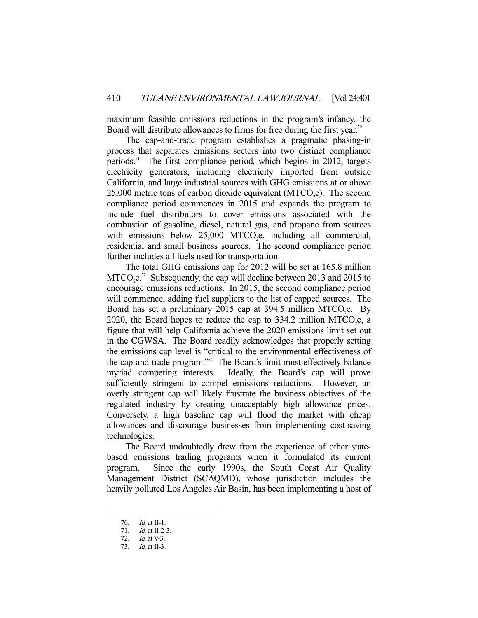maximum feasible emissions reductions in the program's infancy, the Board will distribute allowances to firms for free during the first year.<sup>70</sup>

 The cap-and-trade program establishes a pragmatic phasing-in process that separates emissions sectors into two distinct compliance periods.<sup>71</sup> The first compliance period, which begins in 2012, targets electricity generators, including electricity imported from outside California, and large industrial sources with GHG emissions at or above  $25,000$  metric tons of carbon dioxide equivalent (MTCO<sub>2</sub>e). The second compliance period commences in 2015 and expands the program to include fuel distributors to cover emissions associated with the combustion of gasoline, diesel, natural gas, and propane from sources with emissions below  $25,000$  MTCO<sub>2</sub>e, including all commercial, residential and small business sources. The second compliance period further includes all fuels used for transportation.

 The total GHG emissions cap for 2012 will be set at 165.8 million  $MTCO<sub>2</sub>e<sup>72</sup>$  Subsequently, the cap will decline between 2013 and 2015 to encourage emissions reductions. In 2015, the second compliance period will commence, adding fuel suppliers to the list of capped sources. The Board has set a preliminary 2015 cap at 394.5 million MTCO<sub>2</sub>e. By 2020, the Board hopes to reduce the cap to 334.2 million MTCO<sub>2</sub>e, a figure that will help California achieve the 2020 emissions limit set out in the CGWSA. The Board readily acknowledges that properly setting the emissions cap level is "critical to the environmental effectiveness of the cap-and-trade program."73 The Board's limit must effectively balance myriad competing interests. Ideally, the Board's cap will prove sufficiently stringent to compel emissions reductions. However, an overly stringent cap will likely frustrate the business objectives of the regulated industry by creating unacceptably high allowance prices. Conversely, a high baseline cap will flood the market with cheap allowances and discourage businesses from implementing cost-saving technologies.

 The Board undoubtedly drew from the experience of other statebased emissions trading programs when it formulated its current program. Since the early 1990s, the South Coast Air Quality Management District (SCAQMD), whose jurisdiction includes the heavily polluted Los Angeles Air Basin, has been implementing a host of

 <sup>70.</sup> Id. at II-1.

<sup>71.</sup> *Id.* at II-2-3.

 <sup>72.</sup> Id. at V-3.

 <sup>73.</sup> Id. at II-3.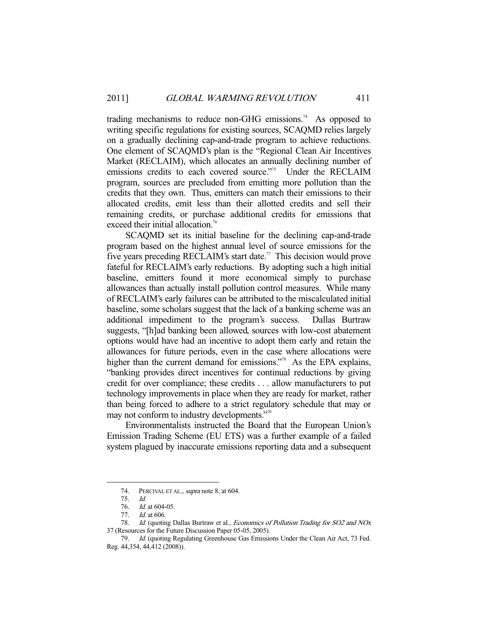trading mechanisms to reduce non-GHG emissions.<sup>74</sup> As opposed to writing specific regulations for existing sources, SCAQMD relies largely on a gradually declining cap-and-trade program to achieve reductions. One element of SCAQMD's plan is the "Regional Clean Air Incentives Market (RECLAIM), which allocates an annually declining number of emissions credits to each covered source."<sup>75</sup> Under the RECLAIM program, sources are precluded from emitting more pollution than the credits that they own. Thus, emitters can match their emissions to their allocated credits, emit less than their allotted credits and sell their remaining credits, or purchase additional credits for emissions that exceed their initial allocation.<sup>76</sup>

 SCAQMD set its initial baseline for the declining cap-and-trade program based on the highest annual level of source emissions for the five years preceding RECLAIM's start date.<sup>77</sup> This decision would prove fateful for RECLAIM's early reductions. By adopting such a high initial baseline, emitters found it more economical simply to purchase allowances than actually install pollution control measures. While many of RECLAIM's early failures can be attributed to the miscalculated initial baseline, some scholars suggest that the lack of a banking scheme was an additional impediment to the program's success. Dallas Burtraw suggests, "[h]ad banking been allowed, sources with low-cost abatement options would have had an incentive to adopt them early and retain the allowances for future periods, even in the case where allocations were higher than the current demand for emissions."<sup>78</sup> As the EPA explains, "banking provides direct incentives for continual reductions by giving credit for over compliance; these credits . . . allow manufacturers to put technology improvements in place when they are ready for market, rather than being forced to adhere to a strict regulatory schedule that may or may not conform to industry developments."79

 Environmentalists instructed the Board that the European Union's Emission Trading Scheme (EU ETS) was a further example of a failed system plagued by inaccurate emissions reporting data and a subsequent

<sup>74.</sup> PERCIVAL ET AL., *supra* note 8, at 604.

 <sup>75.</sup> Id.

<sup>76.</sup> *Id.* at 604-05.

<sup>77.</sup> *Id.* at 606.

<sup>78.</sup> Id. (quoting Dallas Burtraw et al., Economics of Pollution Trading for SO2 and NOx 37 (Resources for the Future Discussion Paper 05-05, 2005).

 <sup>79.</sup> Id. (quoting Regulating Greenhouse Gas Emissions Under the Clean Air Act, 73 Fed. Reg. 44,354, 44,412 (2008)).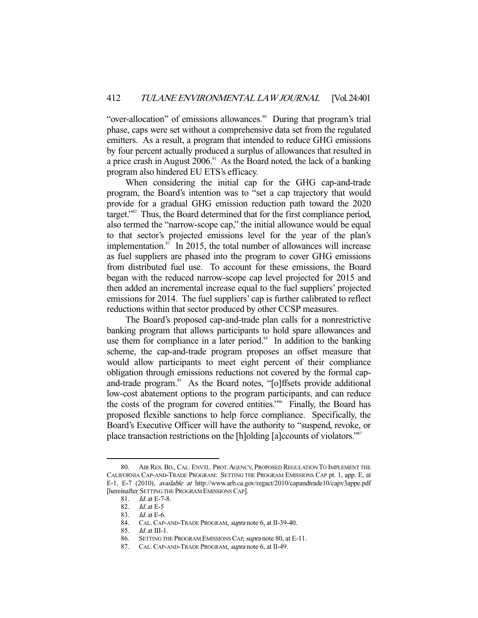"over-allocation" of emissions allowances.<sup>80</sup> During that program's trial phase, caps were set without a comprehensive data set from the regulated emitters. As a result, a program that intended to reduce GHG emissions by four percent actually produced a surplus of allowances that resulted in a price crash in August  $2006$ .<sup>81</sup> As the Board noted, the lack of a banking program also hindered EU ETS's efficacy.

 When considering the initial cap for the GHG cap-and-trade program, the Board's intention was to "set a cap trajectory that would provide for a gradual GHG emission reduction path toward the 2020 target."82 Thus, the Board determined that for the first compliance period, also termed the "narrow-scope cap," the initial allowance would be equal to that sector's projected emissions level for the year of the plan's implementation.<sup>83</sup> In 2015, the total number of allowances will increase as fuel suppliers are phased into the program to cover GHG emissions from distributed fuel use. To account for these emissions, the Board began with the reduced narrow-scope cap level projected for 2015 and then added an incremental increase equal to the fuel suppliers' projected emissions for 2014. The fuel suppliers' cap is further calibrated to reflect reductions within that sector produced by other CCSP measures.

 The Board's proposed cap-and-trade plan calls for a nonrestrictive banking program that allows participants to hold spare allowances and use them for compliance in a later period. $84$  In addition to the banking scheme, the cap-and-trade program proposes an offset measure that would allow participants to meet eight percent of their compliance obligation through emissions reductions not covered by the formal capand-trade program.<sup>85</sup> As the Board notes, "[o]ffsets provide additional low-cost abatement options to the program participants, and can reduce the costs of the program for covered entities."<sup>86</sup> Finally, the Board has proposed flexible sanctions to help force compliance. Specifically, the Board's Executive Officer will have the authority to "suspend, revoke, or place transaction restrictions on the [h]olding [a]ccounts of violators."87

 <sup>80.</sup> AIR RES. BD., CAL. ENVTL. PROT.AGENCY, PROPOSED REGULATION TO IMPLEMENT THE CALIFORNIA CAP-AND-TRADE PROGRAM: SETTING THE PROGRAM EMISSIONS CAP pt. 1, app. E, at E-1, E-7 (2010), available at http://www.arb.ca.gov/regact/2010/capandtrade10/capv3appe.pdf [hereinafter SETTING THE PROGRAM EMISSIONS CAP].

<sup>81.</sup> *Id.* at E-7-8.

<sup>82.</sup> *Id.* at E-5

<sup>83.</sup> *Id.* at E-6.<br>84. CAL. CAP-CAL. CAP-AND-TRADE PROGRAM, supra note 6, at II-39-40.

<sup>85.</sup>  $Id$  at III-1.

<sup>86.</sup> SETTING THE PROGRAM EMISSIONS CAP, supra note 80, at E-11.

<sup>87.</sup> CAL. CAP-AND-TRADE PROGRAM, supra note 6, at II-49.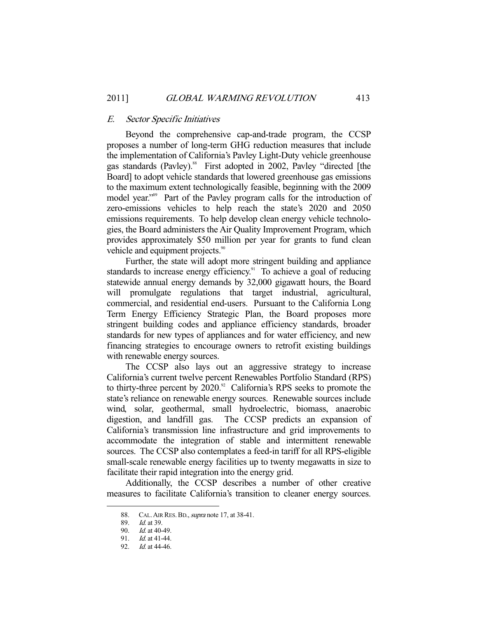### E. Sector Specific Initiatives

 Beyond the comprehensive cap-and-trade program, the CCSP proposes a number of long-term GHG reduction measures that include the implementation of California's Pavley Light-Duty vehicle greenhouse gas standards (Pavley).<sup>88</sup> First adopted in 2002, Pavley "directed [the Board] to adopt vehicle standards that lowered greenhouse gas emissions to the maximum extent technologically feasible, beginning with the 2009 model year."<sup>89</sup> Part of the Pavley program calls for the introduction of zero-emissions vehicles to help reach the state's 2020 and 2050 emissions requirements. To help develop clean energy vehicle technologies, the Board administers the Air Quality Improvement Program, which provides approximately \$50 million per year for grants to fund clean vehicle and equipment projects.<sup>90</sup>

 Further, the state will adopt more stringent building and appliance standards to increase energy efficiency.<sup>91</sup> To achieve a goal of reducing statewide annual energy demands by 32,000 gigawatt hours, the Board will promulgate regulations that target industrial, agricultural, commercial, and residential end-users. Pursuant to the California Long Term Energy Efficiency Strategic Plan, the Board proposes more stringent building codes and appliance efficiency standards, broader standards for new types of appliances and for water efficiency, and new financing strategies to encourage owners to retrofit existing buildings with renewable energy sources.

 The CCSP also lays out an aggressive strategy to increase California's current twelve percent Renewables Portfolio Standard (RPS) to thirty-three percent by  $2020$ .<sup>92</sup> California's RPS seeks to promote the state's reliance on renewable energy sources. Renewable sources include wind, solar, geothermal, small hydroelectric, biomass, anaerobic digestion, and landfill gas. The CCSP predicts an expansion of California's transmission line infrastructure and grid improvements to accommodate the integration of stable and intermittent renewable sources. The CCSP also contemplates a feed-in tariff for all RPS-eligible small-scale renewable energy facilities up to twenty megawatts in size to facilitate their rapid integration into the energy grid.

 Additionally, the CCSP describes a number of other creative measures to facilitate California's transition to cleaner energy sources.

<sup>88.</sup> CAL. AIR RES. BD., *supra* note 17, at 38-41.

<sup>89.</sup> *Id.* at 39.

 <sup>90.</sup> Id. at 40-49.

 <sup>91.</sup> Id. at 41-44.

 <sup>92.</sup> Id. at 44-46.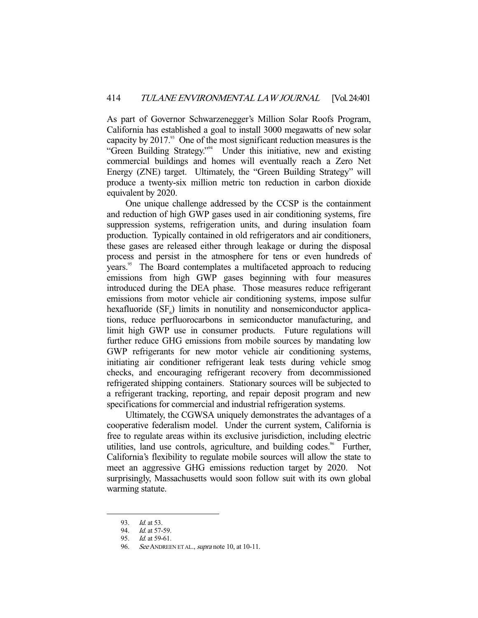As part of Governor Schwarzenegger's Million Solar Roofs Program, California has established a goal to install 3000 megawatts of new solar capacity by  $2017<sup>93</sup>$  One of the most significant reduction measures is the "Green Building Strategy."94 Under this initiative, new and existing commercial buildings and homes will eventually reach a Zero Net Energy (ZNE) target. Ultimately, the "Green Building Strategy" will produce a twenty-six million metric ton reduction in carbon dioxide equivalent by 2020.

 One unique challenge addressed by the CCSP is the containment and reduction of high GWP gases used in air conditioning systems, fire suppression systems, refrigeration units, and during insulation foam production. Typically contained in old refrigerators and air conditioners, these gases are released either through leakage or during the disposal process and persist in the atmosphere for tens or even hundreds of years.<sup>95</sup> The Board contemplates a multifaceted approach to reducing emissions from high GWP gases beginning with four measures introduced during the DEA phase. Those measures reduce refrigerant emissions from motor vehicle air conditioning systems, impose sulfur hexafluoride  $(SF<sub>6</sub>)$  limits in nonutility and nonsemiconductor applications, reduce perfluorocarbons in semiconductor manufacturing, and limit high GWP use in consumer products. Future regulations will further reduce GHG emissions from mobile sources by mandating low GWP refrigerants for new motor vehicle air conditioning systems, initiating air conditioner refrigerant leak tests during vehicle smog checks, and encouraging refrigerant recovery from decommissioned refrigerated shipping containers. Stationary sources will be subjected to a refrigerant tracking, reporting, and repair deposit program and new specifications for commercial and industrial refrigeration systems.

 Ultimately, the CGWSA uniquely demonstrates the advantages of a cooperative federalism model. Under the current system, California is free to regulate areas within its exclusive jurisdiction, including electric utilities, land use controls, agriculture, and building codes.<sup>96</sup> Further, California's flexibility to regulate mobile sources will allow the state to meet an aggressive GHG emissions reduction target by 2020. Not surprisingly, Massachusetts would soon follow suit with its own global warming statute.

<sup>93.</sup> *Id.* at 53.

<sup>94.</sup> Id. at 57-59.

 <sup>95.</sup> Id. at 59-61.

<sup>96.</sup> See ANDREEN ET AL., *supra* note 10, at 10-11.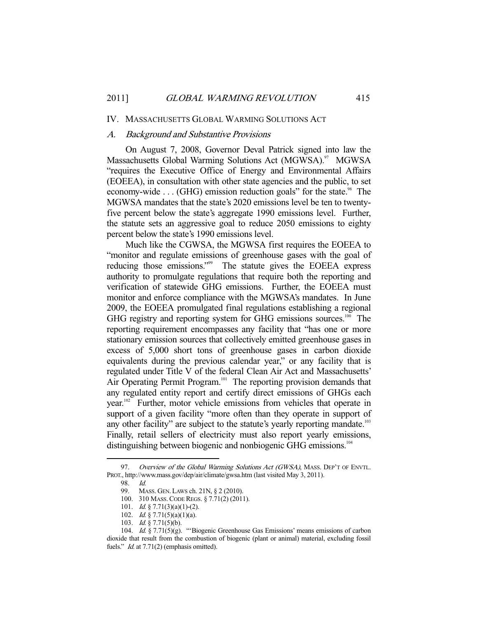#### IV. MASSACHUSETTS GLOBAL WARMING SOLUTIONS ACT

# A. Background and Substantive Provisions

 On August 7, 2008, Governor Deval Patrick signed into law the Massachusetts Global Warming Solutions Act (MGWSA).<sup>97</sup> MGWSA "requires the Executive Office of Energy and Environmental Affairs (EOEEA), in consultation with other state agencies and the public, to set economy-wide  $\dots$  (GHG) emission reduction goals" for the state.<sup>98</sup> The MGWSA mandates that the state's 2020 emissions level be ten to twentyfive percent below the state's aggregate 1990 emissions level. Further, the statute sets an aggressive goal to reduce 2050 emissions to eighty percent below the state's 1990 emissions level.

 Much like the CGWSA, the MGWSA first requires the EOEEA to "monitor and regulate emissions of greenhouse gases with the goal of reducing those emissions."<sup>99</sup> The statute gives the EOEEA express authority to promulgate regulations that require both the reporting and verification of statewide GHG emissions. Further, the EOEEA must monitor and enforce compliance with the MGWSA's mandates. In June 2009, the EOEEA promulgated final regulations establishing a regional GHG registry and reporting system for GHG emissions sources.<sup>100</sup> The reporting requirement encompasses any facility that "has one or more stationary emission sources that collectively emitted greenhouse gases in excess of 5,000 short tons of greenhouse gases in carbon dioxide equivalents during the previous calendar year," or any facility that is regulated under Title V of the federal Clean Air Act and Massachusetts' Air Operating Permit Program.<sup>101</sup> The reporting provision demands that any regulated entity report and certify direct emissions of GHGs each year.<sup>102</sup> Further, motor vehicle emissions from vehicles that operate in support of a given facility "more often than they operate in support of any other facility" are subject to the statute's yearly reporting mandate.<sup>103</sup> Finally, retail sellers of electricity must also report yearly emissions, distinguishing between biogenic and nonbiogenic GHG emissions.<sup>104</sup>

<sup>97.</sup> Overview of the Global Warming Solutions Act (GWSA), MASS. DEP'T OF ENVTL. PROT., http://www.mass.gov/dep/air/climate/gwsa.htm (last visited May 3, 2011).

 <sup>98.</sup> Id.

 <sup>99.</sup> MASS. GEN. LAWS ch. 21N, § 2 (2010).

 <sup>100. 310</sup> MASS.CODE REGS. § 7.71(2) (2011).

<sup>101.</sup> *Id.* § 7.71(3)(a)(1)-(2).

<sup>102.</sup> *Id.* § 7.71(5)(a)(1)(a).

 <sup>103.</sup> Id. § 7.71(5)(b).

 <sup>104.</sup> Id. § 7.71(5)(g). "'Biogenic Greenhouse Gas Emissions' means emissions of carbon dioxide that result from the combustion of biogenic (plant or animal) material, excluding fossil fuels." *Id.* at 7.71(2) (emphasis omitted).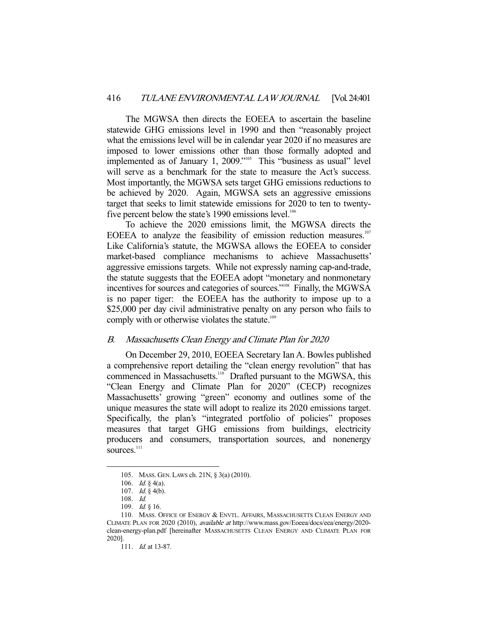The MGWSA then directs the EOEEA to ascertain the baseline statewide GHG emissions level in 1990 and then "reasonably project what the emissions level will be in calendar year 2020 if no measures are imposed to lower emissions other than those formally adopted and implemented as of January 1, 2009."<sup>105</sup> This "business as usual" level will serve as a benchmark for the state to measure the Act's success. Most importantly, the MGWSA sets target GHG emissions reductions to be achieved by 2020. Again, MGWSA sets an aggressive emissions target that seeks to limit statewide emissions for 2020 to ten to twentyfive percent below the state's 1990 emissions level.<sup>106</sup>

 To achieve the 2020 emissions limit, the MGWSA directs the EOEEA to analyze the feasibility of emission reduction measures.<sup>107</sup> Like California's statute, the MGWSA allows the EOEEA to consider market-based compliance mechanisms to achieve Massachusetts' aggressive emissions targets. While not expressly naming cap-and-trade, the statute suggests that the EOEEA adopt "monetary and nonmonetary incentives for sources and categories of sources."<sup>108</sup> Finally, the MGWSA is no paper tiger: the EOEEA has the authority to impose up to a \$25,000 per day civil administrative penalty on any person who fails to comply with or otherwise violates the statute.<sup>109</sup>

# B. Massachusetts Clean Energy and Climate Plan for 2020

 On December 29, 2010, EOEEA Secretary Ian A. Bowles published a comprehensive report detailing the "clean energy revolution" that has commenced in Massachusetts.<sup>110</sup> Drafted pursuant to the MGWSA, this "Clean Energy and Climate Plan for 2020" (CECP) recognizes Massachusetts' growing "green" economy and outlines some of the unique measures the state will adopt to realize its 2020 emissions target. Specifically, the plan's "integrated portfolio of policies" proposes measures that target GHG emissions from buildings, electricity producers and consumers, transportation sources, and nonenergy sources.<sup>111</sup>

 <sup>105.</sup> MASS. GEN. LAWS ch. 21N, § 3(a) (2010).

<sup>106.</sup> *Id.* § 4(a).

 <sup>107.</sup> Id. § 4(b).

 <sup>108.</sup> Id.

 <sup>109.</sup> Id. § 16.

<sup>110.</sup> MASS. OFFICE OF ENERGY & ENVTL. AFFAIRS, MASSACHUSETTS CLEAN ENERGY AND CLIMATE PLAN FOR 2020 (2010), available at http://www.mass.gov/Eoeea/docs/eea/energy/2020 clean-energy-plan.pdf [hereinafter MASSACHUSETTS CLEAN ENERGY AND CLIMATE PLAN FOR 2020].

<sup>111.</sup> *Id.* at 13-87.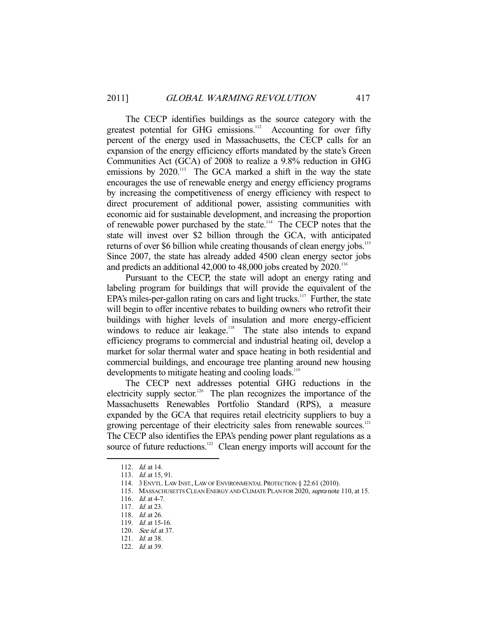The CECP identifies buildings as the source category with the greatest potential for GHG emissions.<sup>112</sup> Accounting for over fifty percent of the energy used in Massachusetts, the CECP calls for an expansion of the energy efficiency efforts mandated by the state's Green Communities Act (GCA) of 2008 to realize a 9.8% reduction in GHG emissions by  $2020$ .<sup>113</sup> The GCA marked a shift in the way the state encourages the use of renewable energy and energy efficiency programs by increasing the competitiveness of energy efficiency with respect to direct procurement of additional power, assisting communities with economic aid for sustainable development, and increasing the proportion of renewable power purchased by the state.114 The CECP notes that the state will invest over \$2 billion through the GCA, with anticipated returns of over \$6 billion while creating thousands of clean energy jobs.<sup>115</sup> Since 2007, the state has already added 4500 clean energy sector jobs and predicts an additional  $42,000$  to  $48,000$  jobs created by  $2020$ .<sup>116</sup>

 Pursuant to the CECP, the state will adopt an energy rating and labeling program for buildings that will provide the equivalent of the EPA's miles-per-gallon rating on cars and light trucks.<sup>117</sup> Further, the state will begin to offer incentive rebates to building owners who retrofit their buildings with higher levels of insulation and more energy-efficient windows to reduce air leakage.<sup>118</sup> The state also intends to expand efficiency programs to commercial and industrial heating oil, develop a market for solar thermal water and space heating in both residential and commercial buildings, and encourage tree planting around new housing developments to mitigate heating and cooling loads.<sup>119</sup>

 The CECP next addresses potential GHG reductions in the electricity supply sector.<sup>120</sup> The plan recognizes the importance of the Massachusetts Renewables Portfolio Standard (RPS), a measure expanded by the GCA that requires retail electricity suppliers to buy a growing percentage of their electricity sales from renewable sources.<sup>121</sup> The CECP also identifies the EPA's pending power plant regulations as a source of future reductions.<sup>122</sup> Clean energy imports will account for the

<sup>112.</sup> *Id.* at 14.

 <sup>113.</sup> Id. at 15, 91.

 <sup>114. 3</sup> ENVTL. LAW INST., LAW OF ENVIRONMENTAL PROTECTION § 22:61 (2010).

<sup>115.</sup> MASSACHUSETTS CLEAN ENERGY AND CLIMATE PLAN FOR 2020, supra note 110, at 15.

 <sup>116.</sup> Id. at 4-7.

<sup>117.</sup> *Id.* at 23.

<sup>118.</sup> *Id.* at 26.

<sup>119.</sup> *Id.* at 15-16.

 <sup>120.</sup> See id. at 37.

 <sup>121.</sup> Id. at 38.

<sup>122.</sup> *Id.* at 39.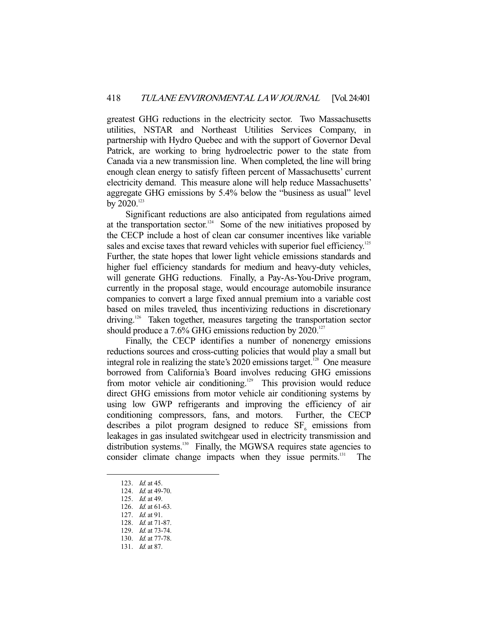greatest GHG reductions in the electricity sector. Two Massachusetts utilities, NSTAR and Northeast Utilities Services Company, in partnership with Hydro Quebec and with the support of Governor Deval Patrick, are working to bring hydroelectric power to the state from Canada via a new transmission line. When completed, the line will bring enough clean energy to satisfy fifteen percent of Massachusetts' current electricity demand. This measure alone will help reduce Massachusetts' aggregate GHG emissions by 5.4% below the "business as usual" level by  $2020$ <sup>123</sup>

 Significant reductions are also anticipated from regulations aimed at the transportation sector.<sup>124</sup> Some of the new initiatives proposed by the CECP include a host of clean car consumer incentives like variable sales and excise taxes that reward vehicles with superior fuel efficiency.<sup>125</sup> Further, the state hopes that lower light vehicle emissions standards and higher fuel efficiency standards for medium and heavy-duty vehicles, will generate GHG reductions. Finally, a Pay-As-You-Drive program, currently in the proposal stage, would encourage automobile insurance companies to convert a large fixed annual premium into a variable cost based on miles traveled, thus incentivizing reductions in discretionary driving.<sup>126</sup> Taken together, measures targeting the transportation sector should produce a 7.6% GHG emissions reduction by 2020.<sup>127</sup>

 Finally, the CECP identifies a number of nonenergy emissions reductions sources and cross-cutting policies that would play a small but integral role in realizing the state's  $2020$  emissions target.<sup>128</sup> One measure borrowed from California's Board involves reducing GHG emissions from motor vehicle air conditioning.<sup>129</sup> This provision would reduce direct GHG emissions from motor vehicle air conditioning systems by using low GWP refrigerants and improving the efficiency of air conditioning compressors, fans, and motors. Further, the CECP describes a pilot program designed to reduce  $SF<sub>6</sub>$  emissions from leakages in gas insulated switchgear used in electricity transmission and distribution systems.<sup>130</sup> Finally, the MGWSA requires state agencies to consider climate change impacts when they issue permits.<sup>131</sup> The

<sup>123.</sup> *Id.* at 45.

<sup>124.</sup> *Id.* at 49-70.

 <sup>125.</sup> Id. at 49.

 <sup>126.</sup> Id. at 61-63.

 <sup>127.</sup> Id. at 91.

 <sup>128.</sup> Id. at 71-87.

 <sup>129.</sup> Id. at 73-74.

 <sup>130.</sup> Id. at 77-78.

 <sup>131.</sup> Id. at 87.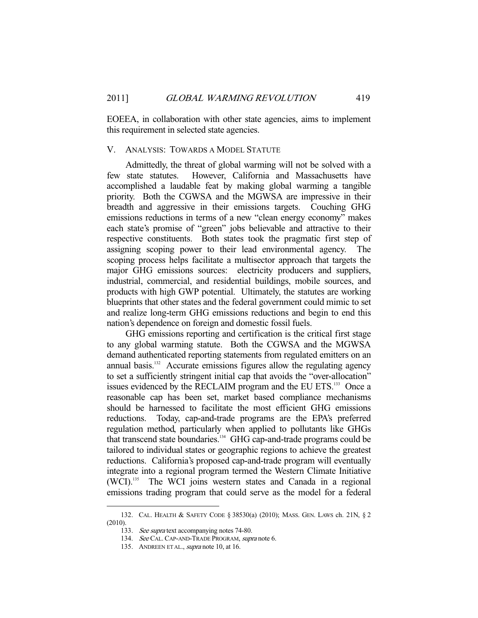EOEEA, in collaboration with other state agencies, aims to implement this requirement in selected state agencies.

# V. ANALYSIS: TOWARDS A MODEL STATUTE

 Admittedly, the threat of global warming will not be solved with a few state statutes. However, California and Massachusetts have accomplished a laudable feat by making global warming a tangible priority. Both the CGWSA and the MGWSA are impressive in their breadth and aggressive in their emissions targets. Couching GHG emissions reductions in terms of a new "clean energy economy" makes each state's promise of "green" jobs believable and attractive to their respective constituents. Both states took the pragmatic first step of assigning scoping power to their lead environmental agency. The scoping process helps facilitate a multisector approach that targets the major GHG emissions sources: electricity producers and suppliers, industrial, commercial, and residential buildings, mobile sources, and products with high GWP potential. Ultimately, the statutes are working blueprints that other states and the federal government could mimic to set and realize long-term GHG emissions reductions and begin to end this nation's dependence on foreign and domestic fossil fuels.

 GHG emissions reporting and certification is the critical first stage to any global warming statute. Both the CGWSA and the MGWSA demand authenticated reporting statements from regulated emitters on an annual basis. $132$  Accurate emissions figures allow the regulating agency to set a sufficiently stringent initial cap that avoids the "over-allocation" issues evidenced by the RECLAIM program and the EU ETS.<sup>133</sup> Once a reasonable cap has been set, market based compliance mechanisms should be harnessed to facilitate the most efficient GHG emissions reductions. Today, cap-and-trade programs are the EPA's preferred regulation method, particularly when applied to pollutants like GHGs that transcend state boundaries.<sup>134</sup> GHG cap-and-trade programs could be tailored to individual states or geographic regions to achieve the greatest reductions. California's proposed cap-and-trade program will eventually integrate into a regional program termed the Western Climate Initiative (WCI).135 The WCI joins western states and Canada in a regional emissions trading program that could serve as the model for a federal

 <sup>132.</sup> CAL. HEALTH & SAFETY CODE § 38530(a) (2010); MASS. GEN. LAWS ch. 21N, § 2 (2010).

<sup>133.</sup> See supra text accompanying notes 74-80.

<sup>134.</sup> See CAL. CAP-AND-TRADE PROGRAM, supra note 6.

<sup>135.</sup> ANDREEN ET AL., *supra* note 10, at 16.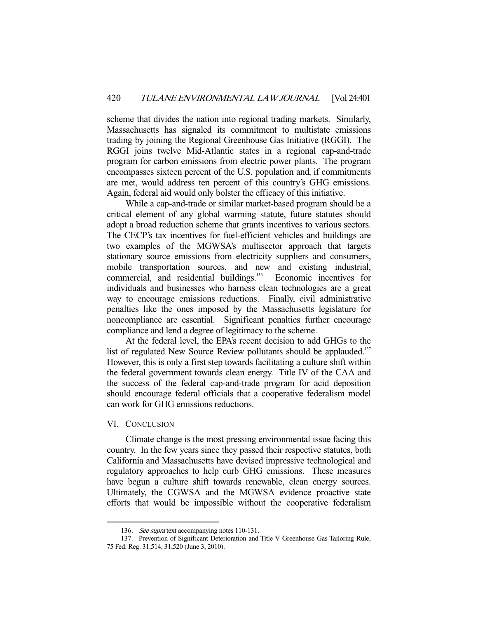scheme that divides the nation into regional trading markets. Similarly, Massachusetts has signaled its commitment to multistate emissions trading by joining the Regional Greenhouse Gas Initiative (RGGI). The RGGI joins twelve Mid-Atlantic states in a regional cap-and-trade program for carbon emissions from electric power plants. The program encompasses sixteen percent of the U.S. population and, if commitments are met, would address ten percent of this country's GHG emissions. Again, federal aid would only bolster the efficacy of this initiative.

 While a cap-and-trade or similar market-based program should be a critical element of any global warming statute, future statutes should adopt a broad reduction scheme that grants incentives to various sectors. The CECP's tax incentives for fuel-efficient vehicles and buildings are two examples of the MGWSA's multisector approach that targets stationary source emissions from electricity suppliers and consumers, mobile transportation sources, and new and existing industrial, commercial, and residential buildings.<sup>136</sup> Economic incentives for individuals and businesses who harness clean technologies are a great way to encourage emissions reductions. Finally, civil administrative penalties like the ones imposed by the Massachusetts legislature for noncompliance are essential. Significant penalties further encourage compliance and lend a degree of legitimacy to the scheme.

 At the federal level, the EPA's recent decision to add GHGs to the list of regulated New Source Review pollutants should be applauded.<sup>137</sup> However, this is only a first step towards facilitating a culture shift within the federal government towards clean energy. Title IV of the CAA and the success of the federal cap-and-trade program for acid deposition should encourage federal officials that a cooperative federalism model can work for GHG emissions reductions.

#### VI. CONCLUSION

-

 Climate change is the most pressing environmental issue facing this country. In the few years since they passed their respective statutes, both California and Massachusetts have devised impressive technological and regulatory approaches to help curb GHG emissions. These measures have begun a culture shift towards renewable, clean energy sources. Ultimately, the CGWSA and the MGWSA evidence proactive state efforts that would be impossible without the cooperative federalism

<sup>136.</sup> See supra text accompanying notes 110-131.

 <sup>137.</sup> Prevention of Significant Deterioration and Title V Greenhouse Gas Tailoring Rule, 75 Fed. Reg. 31,514, 31,520 (June 3, 2010).